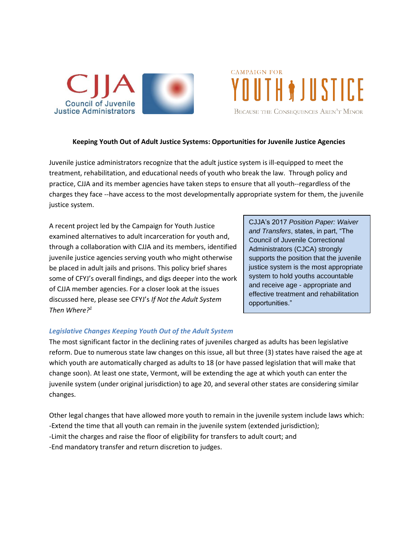



## **Keeping Youth Out of Adult Justice Systems: Opportunities for Juvenile Justice Agencies**

Juvenile justice administrators recognize that the adult justice system is ill-equipped to meet the treatment, rehabilitation, and educational needs of youth who break the law. Through policy and practice, CJJA and its member agencies have taken steps to ensure that all youth--regardless of the charges they face --have access to the most developmentally appropriate system for them, the juvenile justice system.

A recent project led by the Campaign for Youth Justice examined alternatives to adult incarceration for youth and, through a collaboration with CJJA and its members, identified juvenile justice agencies serving youth who might otherwise be placed in adult jails and prisons. This policy brief shares some of CFYJ's overall findings, and digs deeper into the work of CJJA member agencies. For a closer look at the issues discussed here, please see CFYJ's *If Not the Adult System Then Where?<sup>1</sup>*

CJJA's 2017 *Position Paper: Waiver and Transfers*, states, in part, "The Council of Juvenile Correctional Administrators (CJCA) strongly supports the position that the juvenile justice system is the most appropriate system to hold youths accountable and receive age - appropriate and effective treatment and rehabilitation opportunities."

#### *Legislative Changes Keeping Youth Out of the Adult System*

The most significant factor in the declining rates of juveniles charged as adults has been legislative reform. Due to numerous state law changes on this issue, all but three (3) states have raised the age at which youth are automatically charged as adults to 18 (or have passed legislation that will make that change soon). At least one state, Vermont, will be extending the age at which youth can enter the juvenile system (under original jurisdiction) to age 20, and several other states are considering similar changes.

Other legal changes that have allowed more youth to remain in the juvenile system include laws which: -Extend the time that all youth can remain in the juvenile system (extended jurisdiction); -Limit the charges and raise the floor of eligibility for transfers to adult court; and -End mandatory transfer and return discretion to judges.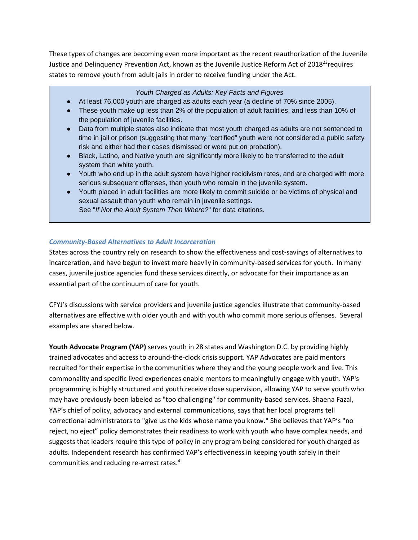These types of changes are becoming even more important as the recent reauthorization of the Juvenile Justice and Delinquency Prevention Act, known as the Juvenile Justice Reform Act of 2018<sup>23</sup>requires states to remove youth from adult jails in order to receive funding under the Act.

### *Youth Charged as Adults: Key Facts and Figures*

- At least 76,000 youth are charged as adults each year (a decline of 70% since 2005).
- These youth make up less than 2% of the population of adult facilities, and less than 10% of the population of juvenile facilities.
- Data from multiple states also indicate that most youth charged as adults are not sentenced to time in jail or prison (suggesting that many "certified" youth were not considered a public safety risk and either had their cases dismissed or were put on probation).
- Black, Latino, and Native youth are significantly more likely to be transferred to the adult system than white youth.
- Youth who end up in the adult system have higher recidivism rates, and are charged with more serious subsequent offenses, than youth who remain in the juvenile system.
- Youth placed in adult facilities are more likely to commit suicide or be victims of physical and sexual assault than youth who remain in juvenile settings. See "*If Not the Adult System Then Where?*" for data citations.

## *Community-Based Alternatives to Adult Incarceration*

States across the country rely on research to show the effectiveness and cost-savings of alternatives to incarceration, and have begun to invest more heavily in community-based services for youth. In many cases, juvenile justice agencies fund these services directly, or advocate for their importance as an essential part of the continuum of care for youth.

CFYJ's discussions with service providers and juvenile justice agencies illustrate that community-based alternatives are effective with older youth and with youth who commit more serious offenses. Several examples are shared below.

**Youth Advocate Program (YAP)** serves youth in 28 states and Washington D.C. by providing highly trained advocates and access to around-the-clock crisis support. YAP Advocates are paid mentors recruited for their expertise in the communities where they and the young people work and live. This commonality and specific lived experiences enable mentors to meaningfully engage with youth. YAP's programming is highly structured and youth receive close supervision, allowing YAP to serve youth who may have previously been labeled as "too challenging" for community-based services. Shaena Fazal, YAP's chief of policy, advocacy and external communications, says that her local programs tell correctional administrators to "give us the kids whose name you know." She believes that YAP's "no reject, no eject" policy demonstrates their readiness to work with youth who have complex needs, and suggests that leaders require this type of policy in any program being considered for youth charged as adults. Independent research has confirmed YAP's effectiveness in keeping youth safely in their communities and reducing re-arrest rates. 4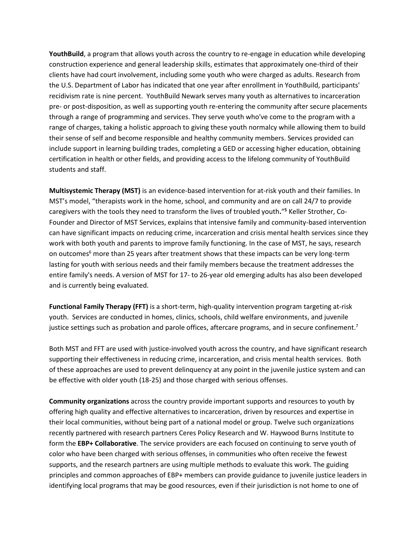**YouthBuild**, a program that allows youth across the country to re-engage in education while developing construction experience and general leadership skills, estimates that approximately one-third of their clients have had court involvement, including some youth who were charged as adults. Research from the U.S. Department of Labor has indicated that one year after enrollment in YouthBuild, participants' recidivism rate is nine percent. YouthBuild Newark serves many youth as alternatives to incarceration pre- or post-disposition, as well as supporting youth re-entering the community after secure placements through a range of programming and services. They serve youth who've come to the program with a range of charges, taking a holistic approach to giving these youth normalcy while allowing them to build their sense of self and become responsible and healthy community members. Services provided can include support in learning building trades, completing a GED or accessing higher education, obtaining certification in health or other fields, and providing access to the lifelong community of YouthBuild students and staff.

**Multisystemic Therapy (MST)** is an evidence-based intervention for at-risk youth and their families. In MST's model, "therapists work in the home, school, and community and are on call 24/7 to provide caregivers with the tools they need to transform the lives of troubled youth**.**" **<sup>5</sup>** Keller Strother, Co-Founder and Director of MST Services, explains that intensive family and community-based intervention can have significant impacts on reducing crime, incarceration and crisis mental health services since they work with both youth and parents to improve family functioning. In the case of MST, he says, research on outcomes<sup>6</sup> more than 25 years after treatment shows that these impacts can be very long-term lasting for youth with serious needs and their family members because the treatment addresses the entire family's needs. A version of MST for 17- to 26-year old emerging adults has also been developed and is currently being evaluated.

**Functional Family Therapy (FFT)** is a short-term, high-quality intervention program targeting at-risk youth. Services are conducted in homes, clinics, schools, child welfare environments, and juvenile justice settings such as probation and parole offices, aftercare programs, and in secure confinement.<sup>7</sup>

Both MST and FFT are used with justice-involved youth across the country, and have significant research supporting their effectiveness in reducing crime, incarceration, and crisis mental health services. Both of these approaches are used to prevent delinquency at any point in the juvenile justice system and can be effective with older youth (18-25) and those charged with serious offenses.

**Community organizations** across the country provide important supports and resources to youth by offering high quality and effective alternatives to incarceration, driven by resources and expertise in their local communities, without being part of a national model or group. Twelve such organizations recently partnered with research partners Ceres Policy Research and W. Haywood Burns Institute to form the **EBP+ Collaborative**. The service providers are each focused on continuing to serve youth of color who have been charged with serious offenses, in communities who often receive the fewest supports, and the research partners are using multiple methods to evaluate this work. The guiding principles and common approaches of EBP+ members can provide guidance to juvenile justice leaders in identifying local programs that may be good resources, even if their jurisdiction is not home to one of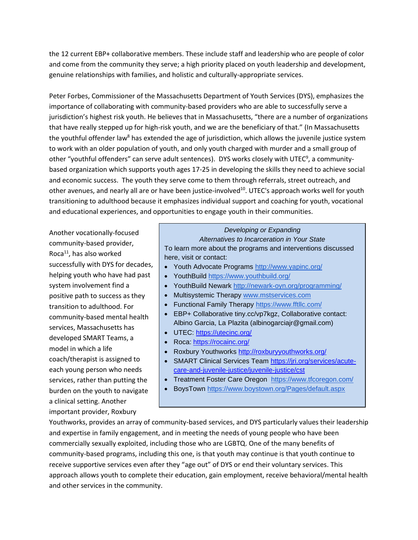the 12 current EBP+ collaborative members. These include staff and leadership who are people of color and come from the community they serve; a high priority placed on youth leadership and development, genuine relationships with families, and holistic and culturally-appropriate services.

Peter Forbes, Commissioner of the Massachusetts Department of Youth Services (DYS), emphasizes the importance of collaborating with community-based providers who are able to successfully serve a jurisdiction's highest risk youth. He believes that in Massachusetts, "there are a number of organizations that have really stepped up for high-risk youth, and we are the beneficiary of that." (In Massachusetts the youthful offender law<sup>8</sup> has extended the age of jurisdiction, which allows the juvenile justice system to work with an older population of youth, and only youth charged with murder and a small group of other "youthful offenders" can serve adult sentences). DYS works closely with UTEC<sup>9</sup>, a communitybased organization which supports youth ages 17-25 in developing the skills they need to achieve social and economic success. The youth they serve come to them through referrals, street outreach, and other avenues, and nearly all are or have been justice-involved<sup>10</sup>. UTEC's approach works well for youth transitioning to adulthood because it emphasizes individual support and coaching for youth, vocational and educational experiences, and opportunities to engage youth in their communities.

Another vocationally-focused community-based provider, Roca $^{11}$ , has also worked successfully with DYS for decades, helping youth who have had past system involvement find a positive path to success as they transition to adulthood. For community-based mental health services, Massachusetts has developed SMART Teams, a model in which a life coach/therapist is assigned to each young person who needs services, rather than putting the burden on the youth to navigate a clinical setting. Another important provider, Roxbury

# *Developing or Expanding*

*Alternatives to Incarceration in Your State* To learn more about the programs and interventions discussed here, visit or contact:

- Youth Advocate Programs<http://www.yapinc.org/>
- YouthBuild<https://www.youthbuild.org/>
- YouthBuild Newark<http://newark-oyn.org/programming/>
- Multisystemic Therapy [www.mstservices.com](http://www.mstservices.com/)
- Functional Family Therapy<https://www.fftllc.com/>
- EBP+ Collaborative tiny.cc/vp7kgz, Collaborative contact: Albino Garcia, La Plazita (albinogarciajr@gmail.com)
- UTEC:<https://utecinc.org/>
- Roca:<https://rocainc.org/>
- Roxbury Youthworks<http://roxburyyouthworks.org/>
- SMART Clinical Services Team [https://jri.org/services/acute](https://jri.org/services/acute-care-and-juvenile-justice/juvenile-justice/cst)[care-and-juvenile-justice/juvenile-justice/cst](https://jri.org/services/acute-care-and-juvenile-justice/juvenile-justice/cst)
- Treatment Foster Care Oregon <https://www.tfcoregon.com/>
- BoysTown<https://www.boystown.org/Pages/default.aspx>

Youthworks, provides an array of community-based services, and DYS particularly values their leadership and expertise in family engagement, and in meeting the needs of young people who have been commercially sexually exploited, including those who are LGBTQ. One of the many benefits of community-based programs, including this one, is that youth may continue is that youth continue to receive supportive services even after they "age out" of DYS or end their voluntary services. This approach allows youth to complete their education, gain employment, receive behavioral/mental health and other services in the community.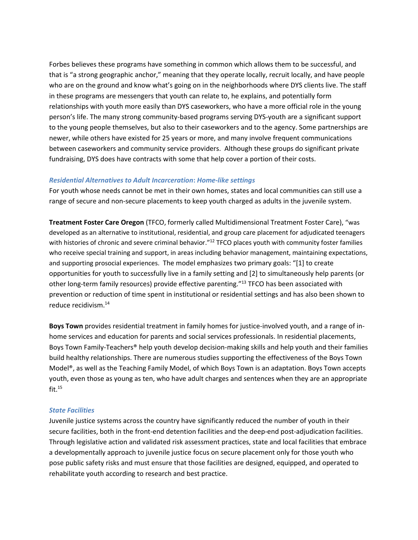Forbes believes these programs have something in common which allows them to be successful, and that is "a strong geographic anchor," meaning that they operate locally, recruit locally, and have people who are on the ground and know what's going on in the neighborhoods where DYS clients live. The staff in these programs are messengers that youth can relate to, he explains, and potentially form relationships with youth more easily than DYS caseworkers, who have a more official role in the young person's life. The many strong community-based programs serving DYS-youth are a significant support to the young people themselves, but also to their caseworkers and to the agency. Some partnerships are newer, while others have existed for 25 years or more, and many involve frequent communications between caseworkers and community service providers. Although these groups do significant private fundraising, DYS does have contracts with some that help cover a portion of their costs.

#### *Residential Alternatives to Adult Incarceration***:** *Home-like settings*

For youth whose needs cannot be met in their own homes, states and local communities can still use a range of secure and non-secure placements to keep youth charged as adults in the juvenile system.

**Treatment Foster Care Oregon** (TFCO, formerly called Multidimensional Treatment Foster Care), "was developed as an alternative to institutional, residential, and group care placement for adjudicated teenagers with histories of chronic and severe criminal behavior."<sup>12</sup> TFCO places youth with community foster families who receive special training and support, in areas including behavior management, maintaining expectations, and supporting prosocial experiences. The model emphasizes two primary goals: "[1] to create opportunities for youth to successfully live in a family setting and [2] to simultaneously help parents (or other long-term family resources) provide effective parenting."<sup>13</sup> TFCO has been associated with prevention or reduction of time spent in institutional or residential settings and has also been shown to reduce recidivism.<sup>14</sup>

**Boys Town** provides residential treatment in family homes for justice-involved youth, and a range of inhome services and education for parents and social services professionals. In residential placements, Boys Town Family-Teachers® help youth develop decision-making skills and help youth and their families build healthy relationships. There are numerous studies supporting the effectiveness of the Boys Town Model®, as well as the Teaching Family Model, of which Boys Town is an adaptation. Boys Town accepts youth, even those as young as ten, who have adult charges and sentences when they are an appropriate fit. $15$ 

#### *State Facilities*

Juvenile justice systems across the country have significantly reduced the number of youth in their secure facilities, both in the front-end detention facilities and the deep-end post-adjudication facilities. Through legislative action and validated risk assessment practices, state and local facilities that embrace a developmentally approach to juvenile justice focus on secure placement only for those youth who pose public safety risks and must ensure that those facilities are designed, equipped, and operated to rehabilitate youth according to research and best practice.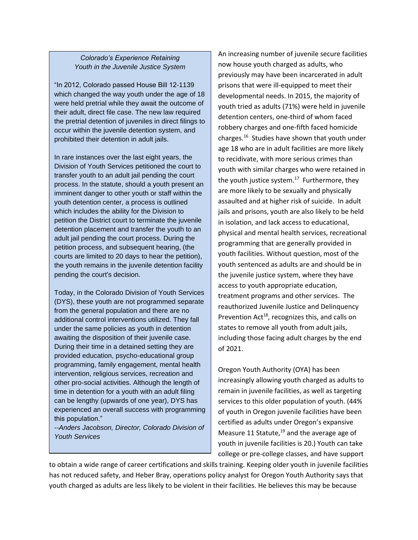# *Colorado's Experience Retaining Youth in the Juvenile Justice System*

"In 2012, Colorado passed House Bill 12-1139 which changed the way youth under the age of 18 were held pretrial while they await the outcome of their adult, direct file case. The new law required the pretrial detention of juveniles in direct filings to occur within the juvenile detention system, and prohibited their detention in adult jails.

In rare instances over the last eight years, the Division of Youth Services petitioned the court to transfer youth to an adult jail pending the court process. In the statute, should a youth present an imminent danger to other youth or staff within the youth detention center, a process is outlined which includes the ability for the Division to petition the District court to terminate the juvenile detention placement and transfer the youth to an adult jail pending the court process. During the petition process, and subsequent hearing, (the courts are limited to 20 days to hear the petition), the youth remains in the juvenile detention facility pending the court's decision.

Today, in the Colorado Division of Youth Services (DYS), these youth are not programmed separate from the general population and there are no additional control interventions utilized. They fall under the same policies as youth in detention awaiting the disposition of their juvenile case. During their time in a detained setting they are provided education, psycho-educational group programming, family engagement, mental health intervention, religious services, recreation and other pro-social activities. Although the length of time in detention for a youth with an adult filing can be lengthy (upwards of one year), DYS has experienced an overall success with programming this population."

*--Anders Jacobson, Director, Colorado Division of Youth Services*

An increasing number of juvenile secure facilities now house youth charged as adults, who previously may have been incarcerated in adult prisons that were ill-equipped to meet their developmental needs. In 2015, the majority of youth tried as adults (71%) were held in juvenile detention centers, one-third of whom faced robbery charges and one-fifth faced homicide charges.<sup>16</sup> Studies have shown that youth under age 18 who are in adult facilities are more likely to recidivate, with more serious crimes than youth with similar charges who were retained in the youth justice system.<sup>17</sup> Furthermore, they are more likely to be sexually and physically assaulted and at higher risk of suicide. In adult jails and prisons, youth are also likely to be held in isolation, and lack access to educational, physical and mental health services, recreational programming that are generally provided in youth facilities. Without question, most of the youth sentenced as adults are and should be in the juvenile justice system, where they have access to youth appropriate education, treatment programs and other services. The reauthorized Juvenile Justice and Delinquency Prevention Act<sup>18</sup>, recognizes this, and calls on states to remove all youth from adult jails, including those facing adult charges by the end of 2021.

Oregon Youth Authority (OYA) has been increasingly allowing youth charged as adults to remain in juvenile facilities, as well as targeting services to this older population of youth. (44% of youth in Oregon juvenile facilities have been certified as adults under Oregon's expansive Measure 11 Statute, $19$  and the average age of youth in juvenile facilities is 20.) Youth can take college or pre-college classes, and have support

to obtain a wide range of career certifications and skills training. Keeping older youth in juvenile facilities has not reduced safety, and Heber Bray, operations policy analyst for Oregon Youth Authority says that youth charged as adults are less likely to be violent in their facilities. He believes this may be because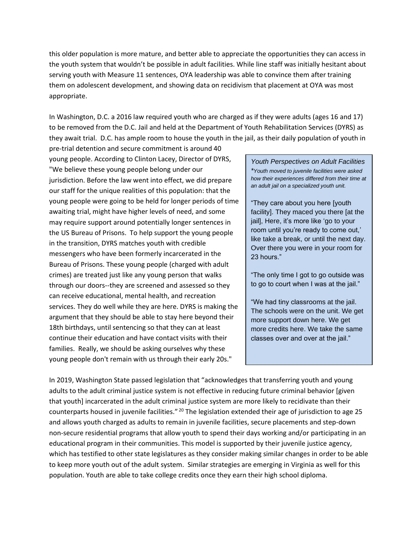this older population is more mature, and better able to appreciate the opportunities they can access in the youth system that wouldn't be possible in adult facilities. While line staff was initially hesitant about serving youth with Measure 11 sentences, OYA leadership was able to convince them after training them on adolescent development, and showing data on recidivism that placement at OYA was most appropriate.

In Washington, D.C. a 2016 law required youth who are charged as if they were adults (ages 16 and 17) to be removed from the D.C. Jail and held at the Department of Youth Rehabilitation Services (DYRS) as they await trial. D.C. has ample room to house the youth in the jail, as their daily population of youth in

pre-trial detention and secure commitment is around 40 young people. According to Clinton Lacey, Director of DYRS, "We believe these young people belong under our jurisdiction. Before the law went into effect, we did prepare our staff for the unique realities of this population: that the young people were going to be held for longer periods of time awaiting trial, might have higher levels of need, and some may require support around potentially longer sentences in the US Bureau of Prisons. To help support the young people in the transition, DYRS matches youth with credible messengers who have been formerly incarcerated in the Bureau of Prisons. These young people (charged with adult crimes) are treated just like any young person that walks through our doors--they are screened and assessed so they can receive educational, mental health, and recreation services. They do well while they are here. DYRS is making the argument that they should be able to stay here beyond their 18th birthdays, until sentencing so that they can at least continue their education and have contact visits with their families. Really, we should be asking ourselves why these young people don't remain with us through their early 20s."

*Youth Perspectives on Adult Facilities \*Youth moved to juvenile facilities were asked how their experiences differed from their time at an adult jail on a specialized youth unit.*

"They care about you here [youth facility]. They maced you there [at the jail], Here, it's more like 'go to your room until you're ready to come out,' like take a break, or until the next day. Over there you were in your room for 23 hours."

"The only time I got to go outside was to go to court when I was at the jail."

"We had tiny classrooms at the jail. The schools were on the unit. We get more support down here. We get more credits here. We take the same classes over and over at the jail."

In 2019, Washington State passed legislation that "acknowledges that transferring youth and young adults to the adult criminal justice system is not effective in reducing future criminal behavior [given that youth] incarcerated in the adult criminal justice system are more likely to recidivate than their counterparts housed in juvenile facilities." <sup>20</sup> The legislation extended their age of jurisdiction to age 25 and allows youth charged as adults to remain in juvenile facilities, secure placements and step-down non-secure residential programs that allow youth to spend their days working and/or participating in an educational program in their communities. This model is supported by their juvenile justice agency, which has testified to other state legislatures as they consider making similar changes in order to be able to keep more youth out of the adult system. Similar strategies are emerging in Virginia as well for this population. Youth are able to take college credits once they earn their high school diploma.